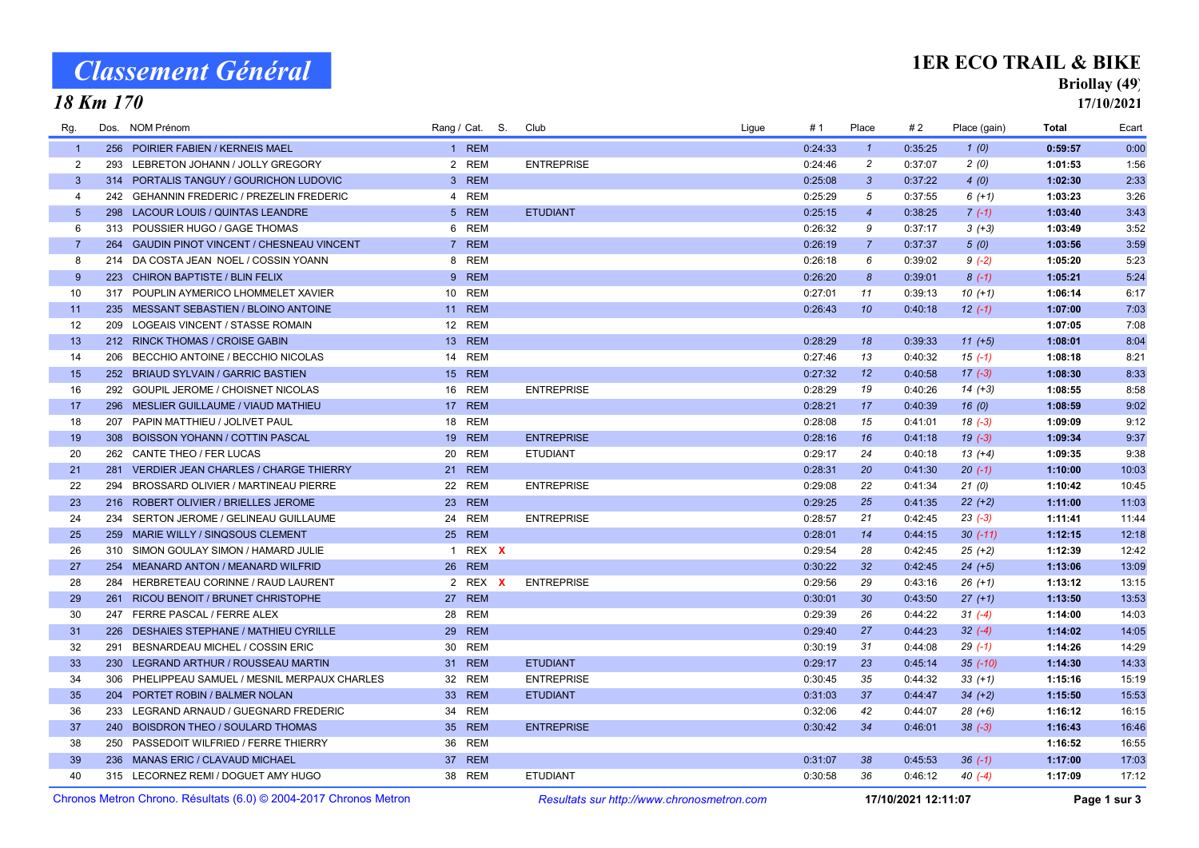# Classement Général

#### 18 Km 170

#### 1ER ECO TRAIL & BIKE

### Briollay (49)

17/10/2021

| Rg.            | Dos. | NOM Prénom                                                        |                 | Rang / Cat. S. | Club                                       | # 1<br>Ligue | Place            | #2                  | Place (gain) | Total   | Ecart        |
|----------------|------|-------------------------------------------------------------------|-----------------|----------------|--------------------------------------------|--------------|------------------|---------------------|--------------|---------|--------------|
| $\overline{1}$ |      | 256 POIRIER FABIEN / KERNEIS MAEL                                 |                 | 1 REM          |                                            | 0:24:33      | $\mathbf{1}$     | 0:35:25             | 1(0)         | 0:59:57 | 0:00         |
| $\overline{2}$ | 293  | LEBRETON JOHANN / JOLLY GREGORY                                   |                 | 2 REM          | <b>ENTREPRISE</b>                          | 0:24:46      | $\overline{2}$   | 0:37:07             | 2(0)         | 1:01:53 | 1:56         |
| $\mathbf{3}$   |      | 314 PORTALIS TANGUY / GOURICHON LUDOVIC                           |                 | 3 REM          |                                            | 0:25:08      | $\mathbf{3}$     | 0:37:22             | 4(0)         | 1:02:30 | 2:33         |
| $\overline{4}$ |      | 242 GEHANNIN FREDERIC / PREZELIN FREDERIC                         | 4               | <b>REM</b>     |                                            | 0:25:29      | 5                | 0:37:55             | $6(+1)$      | 1:03:23 | 3:26         |
| 5 <sup>5</sup> |      | 298 LACOUR LOUIS / QUINTAS LEANDRE                                |                 | 5 REM          | <b>ETUDIANT</b>                            | 0:25:15      | $\overline{4}$   | 0:38:25             | $7(-1)$      | 1:03:40 | 3:43         |
| 6              |      | 313 POUSSIER HUGO / GAGE THOMAS                                   | 6               | <b>REM</b>     |                                            | 0:26:32      | 9                | 0:37:17             | $3(+3)$      | 1:03:49 | 3:52         |
| $\overline{7}$ |      | 264 GAUDIN PINOT VINCENT / CHESNEAU VINCENT                       |                 | 7 REM          |                                            | 0:26:19      | $\overline{7}$   | 0:37:37             | 5(0)         | 1:03:56 | 3:59         |
| 8              |      | 214 DA COSTA JEAN NOEL / COSSIN YOANN                             | 8               | <b>REM</b>     |                                            | 0:26:18      | 6                | 0:39:02             | $9(-2)$      | 1:05:20 | 5:23         |
| 9              |      | 223 CHIRON BAPTISTE / BLIN FELIX                                  |                 | 9 REM          |                                            | 0:26:20      | $\boldsymbol{8}$ | 0:39:01             | $8(-1)$      | 1:05:21 | 5:24         |
| 10             |      | 317 POUPLIN AYMERICO LHOMMELET XAVIER                             | 10 <sup>1</sup> | <b>REM</b>     |                                            | 0:27:01      | 11               | 0:39:13             | $10(+1)$     | 1:06:14 | 6:17         |
| 11             |      | 235 MESSANT SEBASTIEN / BLOINO ANTOINE                            |                 | 11 REM         |                                            | 0:26:43      | 10               | 0:40:18             | $12(-1)$     | 1:07:00 | 7:03         |
| 12             |      | 209 LOGEAIS VINCENT / STASSE ROMAIN                               |                 | 12 REM         |                                            |              |                  |                     |              | 1:07:05 | 7:08         |
| 13             |      | 212 RINCK THOMAS / CROISE GABIN                                   |                 | 13 REM         |                                            | 0:28:29      | 18               | 0:39:33             | $11 (+5)$    | 1:08:01 | 8:04         |
| 14             |      | 206 BECCHIO ANTOINE / BECCHIO NICOLAS                             | 14              | <b>REM</b>     |                                            | 0:27:46      | 13               | 0:40:32             | $15(-1)$     | 1:08:18 | 8:21         |
| 15             |      | 252 BRIAUD SYLVAIN / GARRIC BASTIEN                               | 15              | <b>REM</b>     |                                            | 0:27:32      | 12               | 0:40:58             | $17(-3)$     | 1:08:30 | 8:33         |
| 16             |      | 292 GOUPIL JEROME / CHOISNET NICOLAS                              |                 | 16 REM         | <b>ENTREPRISE</b>                          | 0:28:29      | 19               | 0:40:26             | $14 (+3)$    | 1:08:55 | 8:58         |
| 17             |      | 296 MESLIER GUILLAUME / VIAUD MATHIEU                             |                 | 17 REM         |                                            | 0:28:21      | 17               | 0:40:39             | 16(0)        | 1:08:59 | 9:02         |
| 18             |      | 207 PAPIN MATTHIEU / JOLIVET PAUL                                 | 18              | <b>REM</b>     |                                            | 0:28:08      | 15               | 0:41:01             | $18(-3)$     | 1:09:09 | 9:12         |
| 19             |      | 308 BOISSON YOHANN / COTTIN PASCAL                                | 19 <sup>°</sup> | <b>REM</b>     | <b>ENTREPRISE</b>                          | 0:28:16      | 16               | 0:41:18             | $19(-3)$     | 1:09:34 | 9:37         |
| 20             |      | 262 CANTE THEO / FER LUCAS                                        | 20              | <b>REM</b>     | <b>ETUDIANT</b>                            | 0:29:17      | 24               | 0:40:18             | $13(+4)$     | 1:09:35 | 9:38         |
| 21             |      | 281 VERDIER JEAN CHARLES / CHARGE THIERRY                         |                 | 21 REM         |                                            | 0:28:31      | 20               | 0:41:30             | $20(-1)$     | 1:10:00 | 10:03        |
| 22             | 294  | BROSSARD OLIVIER / MARTINEAU PIERRE                               |                 | 22 REM         | <b>ENTREPRISE</b>                          | 0:29:08      | 22               | 0:41:34             | 21(0)        | 1:10:42 | 10:45        |
| 23             |      | 216 ROBERT OLIVIER / BRIELLES JEROME                              | 23              | <b>REM</b>     |                                            | 0:29:25      | 25               | 0:41:35             | $22 (+2)$    | 1:11:00 | 11:03        |
| 24             |      | 234 SERTON JEROME / GELINEAU GUILLAUME                            |                 | 24 REM         | <b>ENTREPRISE</b>                          | 0:28:57      | 21               | 0:42:45             | $23(-3)$     | 1:11:41 | 11:44        |
| 25             |      | 259 MARIE WILLY / SINQSOUS CLEMENT                                |                 | 25 REM         |                                            | 0:28:01      | 14               | 0:44:15             | $30(-11)$    | 1:12:15 | 12:18        |
| 26             |      | 310 SIMON GOULAY SIMON / HAMARD JULIE                             |                 | 1 REX X        |                                            | 0:29:54      | 28               | 0:42:45             | $25 (+2)$    | 1:12:39 | 12:42        |
| 27             |      | 254 MEANARD ANTON / MEANARD WILFRID                               | 26              | <b>REM</b>     |                                            | 0:30:22      | 32               | 0:42:45             | $24 (+5)$    | 1:13:06 | 13:09        |
| 28             | 284  | HERBRETEAU CORINNE / RAUD LAURENT                                 |                 | 2 REX X        | <b>ENTREPRISE</b>                          | 0:29:56      | 29               | 0:43:16             | $26 (+1)$    | 1:13:12 | 13:15        |
| 29             |      | 261 RICOU BENOIT / BRUNET CHRISTOPHE                              |                 | 27 REM         |                                            | 0:30:01      | 30               | 0:43:50             | $27 (+1)$    | 1:13:50 | 13:53        |
| 30             |      | 247 FERRE PASCAL / FERRE ALEX                                     |                 | 28 REM         |                                            | 0:29:39      | 26               | 0:44:22             | $31 (-4)$    | 1:14:00 | 14:03        |
| 31             |      | 226 DESHAIES STEPHANE / MATHIEU CYRILLE                           | <b>29</b>       | <b>REM</b>     |                                            | 0:29:40      | 27               | 0:44:23             | $32 (-4)$    | 1:14:02 | 14:05        |
| 32             | 291  | BESNARDEAU MICHEL / COSSIN ERIC                                   | 30              | <b>REM</b>     |                                            | 0:30:19      | 31               | 0:44:08             | $29( -1)$    | 1:14:26 | 14:29        |
| 33             |      | 230 LEGRAND ARTHUR / ROUSSEAU MARTIN                              |                 | 31 REM         | <b>ETUDIANT</b>                            | 0:29:17      | 23               | 0:45:14             | $35(-10)$    | 1:14:30 | 14:33        |
| 34             |      | 306 PHELIPPEAU SAMUEL / MESNIL MERPAUX CHARLES                    |                 | 32 REM         | <b>ENTREPRISE</b>                          | 0:30:45      | 35               | 0:44:32             | $33 (+1)$    | 1:15:16 | 15:19        |
| 35             |      | 204 PORTET ROBIN / BALMER NOLAN                                   |                 | 33 REM         | <b>ETUDIANT</b>                            | 0:31:03      | 37               | 0:44:47             | $34 (+2)$    | 1:15:50 | 15:53        |
| 36             |      | 233 LEGRAND ARNAUD / GUEGNARD FREDERIC                            | 34              | <b>REM</b>     |                                            | 0:32:06      | 42               | 0:44:07             | 28 (+6)      | 1:16:12 | 16:15        |
| 37             |      | 240 BOISDRON THEO / SOULARD THOMAS                                |                 | 35 REM         | <b>ENTREPRISE</b>                          | 0:30:42      | 34               | 0:46:01             | $38 (-3)$    | 1:16:43 | 16:46        |
| 38             |      | 250 PASSEDOIT WILFRIED / FERRE THIERRY                            |                 | 36 REM         |                                            |              |                  |                     |              | 1:16:52 | 16:55        |
| 39             |      | 236 MANAS ERIC / CLAVAUD MICHAEL                                  |                 | 37 REM         |                                            | 0:31:07      | 38               | 0:45:53             | $36(-1)$     | 1:17:00 | 17:03        |
| 40             |      | 315 LECORNEZ REMI / DOGUET AMY HUGO                               |                 | 38 REM         | <b>ETUDIANT</b>                            | 0:30:58      | 36               | 0:46:12             | $40(-4)$     | 1:17:09 | 17:12        |
|                |      | Chronos Metron Chrono. Résultats (6.0) © 2004-2017 Chronos Metron |                 |                | Resultats sur http://www.chronosmetron.com |              |                  | 17/10/2021 12:11:07 |              |         | Page 1 sur 3 |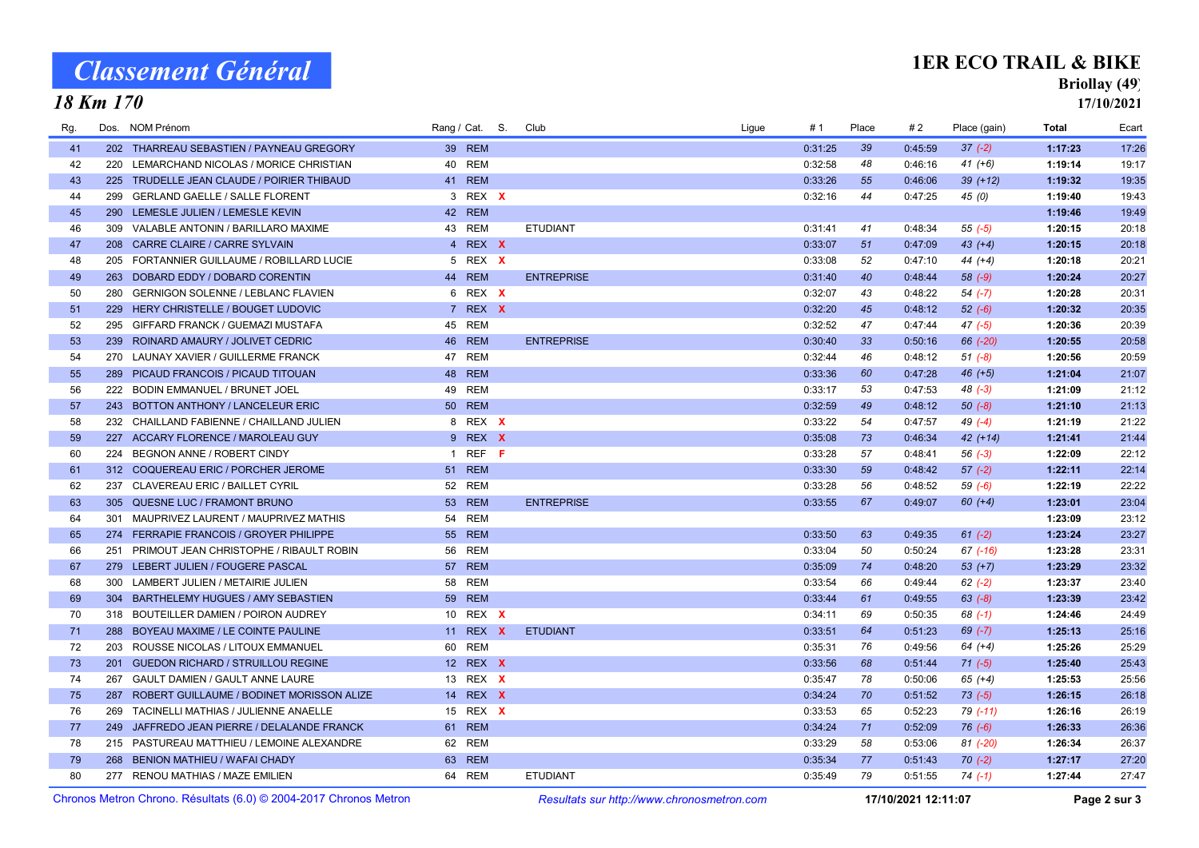# Classement Général

18 Km 170

## 1ER ECO TRAIL & BIKE

## Briollay (49)

17/10/2021

| Rg. | Dos. | <b>NOM Prénom</b>                             | Rang / Cat. S.  | Club              | Ligue | #1      | Place | #2      | Place (gain) | <b>Total</b> | Ecart |
|-----|------|-----------------------------------------------|-----------------|-------------------|-------|---------|-------|---------|--------------|--------------|-------|
| 41  |      | 202 THARREAU SEBASTIEN / PAYNEAU GREGORY      | 39 REM          |                   |       | 0:31:25 | 39    | 0:45:59 | $37 (-2)$    | 1:17:23      | 17:26 |
| 42  |      | 220 LEMARCHAND NICOLAS / MORICE CHRISTIAN     | 40 REM          |                   |       | 0:32:58 | 48    | 0:46:16 | $41 (+6)$    | 1:19:14      | 19:17 |
| 43  |      | 225 TRUDELLE JEAN CLAUDE / POIRIER THIBAUD    | 41 REM          |                   |       | 0:33:26 | 55    | 0:46:06 | $39 (+12)$   | 1:19:32      | 19:35 |
| 44  | 299  | <b>GERLAND GAELLE / SALLE FLORENT</b>         | 3 REX X         |                   |       | 0:32:16 | 44    | 0:47:25 | 45(0)        | 1:19:40      | 19:43 |
| 45  | 290  | LEMESLE JULIEN / LEMESLE KEVIN                | 42 REM          |                   |       |         |       |         |              | 1:19:46      | 19:49 |
| 46  |      | 309 VALABLE ANTONIN / BARILLARO MAXIME        | 43 REM          | <b>ETUDIANT</b>   |       | 0:31:41 | 41    | 0:48:34 | $55 (-5)$    | 1:20:15      | 20:18 |
| 47  |      | 208 CARRE CLAIRE / CARRE SYLVAIN              | 4 REX X         |                   |       | 0:33:07 | 51    | 0:47:09 | $43 (+4)$    | 1:20:15      | 20:18 |
| 48  | 205  | FORTANNIER GUILLAUME / ROBILLARD LUCIE        | 5 REX X         |                   |       | 0:33:08 | 52    | 0:47:10 | $44 (+4)$    | 1:20:18      | 20:21 |
| 49  |      | 263 DOBARD EDDY / DOBARD CORENTIN             | 44 REM          | <b>ENTREPRISE</b> |       | 0:31:40 | 40    | 0:48:44 | $58(-9)$     | 1:20:24      | 20:27 |
| 50  | 280  | <b>GERNIGON SOLENNE / LEBLANC FLAVIEN</b>     | 6 REX X         |                   |       | 0:32:07 | 43    | 0:48:22 | $54 (-7)$    | 1:20:28      | 20:31 |
| 51  |      | 229 HERY CHRISTELLE / BOUGET LUDOVIC          | 7 REX X         |                   |       | 0:32:20 | 45    | 0:48:12 | $52(-6)$     | 1:20:32      | 20:35 |
| 52  |      | 295 GIFFARD FRANCK / GUEMAZI MUSTAFA          | 45 REM          |                   |       | 0:32:52 | 47    | 0:47:44 | $47 (-5)$    | 1:20:36      | 20:39 |
| 53  |      | 239 ROINARD AMAURY / JOLIVET CEDRIC           | 46 REM          | <b>ENTREPRISE</b> |       | 0:30:40 | 33    | 0:50:16 | 66 (-20)     | 1:20:55      | 20:58 |
| 54  |      | 270 LAUNAY XAVIER / GUILLERME FRANCK          | 47 REM          |                   |       | 0:32:44 | 46    | 0:48:12 | $51 (-8)$    | 1:20:56      | 20:59 |
| 55  |      | 289 PICAUD FRANCOIS / PICAUD TITOUAN          | 48 REM          |                   |       | 0:33:36 | 60    | 0:47:28 | $46 (+5)$    | 1:21:04      | 21:07 |
| 56  |      | 222 BODIN EMMANUEL / BRUNET JOEL              | 49 REM          |                   |       | 0:33:17 | 53    | 0:47:53 | $48(-3)$     | 1:21:09      | 21:12 |
| 57  |      | 243 BOTTON ANTHONY / LANCELEUR ERIC           | <b>50 REM</b>   |                   |       | 0:32:59 | 49    | 0:48:12 | $50(-8)$     | 1:21:10      | 21:13 |
| 58  |      | 232 CHAILLAND FABIENNE / CHAILLAND JULIEN     | 8 REX X         |                   |       | 0:33:22 | 54    | 0:47:57 | $49(-4)$     | 1:21:19      | 21:22 |
| 59  |      | 227 ACCARY FLORENCE / MAROLEAU GUY            | 9 REX X         |                   |       | 0:35:08 | 73    | 0:46:34 | $42 (+14)$   | 1:21:41      | 21:44 |
| 60  |      | 224 BEGNON ANNE / ROBERT CINDY                | 1 REF $F$       |                   |       | 0:33:28 | 57    | 0:48:41 | $56(-3)$     | 1:22:09      | 22:12 |
| 61  |      | 312 COQUEREAU ERIC / PORCHER JEROME           | 51 REM          |                   |       | 0:33:30 | 59    | 0:48:42 | $57(-2)$     | 1:22:11      | 22:14 |
| 62  |      | 237 CLAVEREAU ERIC / BAILLET CYRIL            | 52 REM          |                   |       | 0:33:28 | 56    | 0:48:52 | $59(-6)$     | 1:22:19      | 22:22 |
| 63  |      | 305 QUESNE LUC / FRAMONT BRUNO                | 53 REM          | <b>ENTREPRISE</b> |       | 0:33:55 | 67    | 0:49:07 | $60 (+4)$    | 1:23:01      | 23:04 |
| 64  |      | 301 MAUPRIVEZ LAURENT / MAUPRIVEZ MATHIS      | 54 REM          |                   |       |         |       |         |              | 1:23:09      | 23:12 |
| 65  |      | 274 FERRAPIE FRANCOIS / GROYER PHILIPPE       | 55 REM          |                   |       | 0:33:50 | 63    | 0:49:35 | $61 (-2)$    | 1:23:24      | 23:27 |
| 66  |      | 251 PRIMOUT JEAN CHRISTOPHE / RIBAULT ROBIN   | 56 REM          |                   |       | 0:33:04 | 50    | 0:50:24 | $67$ $(-16)$ | 1:23:28      | 23:31 |
| 67  |      | 279 LEBERT JULIEN / FOUGERE PASCAL            | 57 REM          |                   |       | 0:35:09 | 74    | 0:48:20 | $53 (+7)$    | 1:23:29      | 23:32 |
| 68  |      | 300 LAMBERT JULIEN / METAIRIE JULIEN          | 58 REM          |                   |       | 0:33:54 | 66    | 0:49:44 | $62 (-2)$    | 1:23:37      | 23:40 |
| 69  |      | 304 BARTHELEMY HUGUES / AMY SEBASTIEN         | <b>59 REM</b>   |                   |       | 0:33:44 | 61    | 0:49:55 | $63 (-8)$    | 1:23:39      | 23:42 |
| 70  |      | 318 BOUTEILLER DAMIEN / POIRON AUDREY         | 10 REX X        |                   |       | 0:34:11 | 69    | 0:50:35 | $68$ $(-1)$  | 1:24:46      | 24:49 |
| 71  |      | 288 BOYEAU MAXIME / LE COINTE PAULINE         | 11 REX <b>X</b> | <b>ETUDIANT</b>   |       | 0:33:51 | 64    | 0:51:23 | $69$ $(-7)$  | 1:25:13      | 25:16 |
| 72  | 203  | ROUSSE NICOLAS / LITOUX EMMANUEL              | 60 REM          |                   |       | 0:35:31 | 76    | 0:49:56 | $64 (+4)$    | 1:25:26      | 25:29 |
| 73  |      | 201 GUEDON RICHARD / STRUILLOU REGINE         | 12 REX X        |                   |       | 0:33:56 | 68    | 0:51:44 | $71 (-5)$    | 1:25:40      | 25:43 |
| 74  | 267  | <b>GAULT DAMIEN / GAULT ANNE LAURE</b>        | 13 REX X        |                   |       | 0:35:47 | 78    | 0:50:06 | $65 (+4)$    | 1:25:53      | 25:56 |
| 75  |      | 287 ROBERT GUILLAUME / BODINET MORISSON ALIZE | 14 REX X        |                   |       | 0:34:24 | 70    | 0:51:52 | $73(-5)$     | 1:26:15      | 26:18 |
| 76  |      | 269 TACINELLI MATHIAS / JULIENNE ANAELLE      | 15 REX X        |                   |       | 0:33:53 | 65    | 0:52:23 | 79 (-11)     | 1:26:16      | 26:19 |
| 77  |      | 249 JAFFREDO JEAN PIERRE / DELALANDE FRANCK   | 61 REM          |                   |       | 0:34:24 | 71    | 0:52:09 | $76(-6)$     | 1:26:33      | 26:36 |
| 78  |      | 215 PASTUREAU MATTHIEU / LEMOINE ALEXANDRE    | 62 REM          |                   |       | 0:33:29 | 58    | 0:53:06 | $81 (-20)$   | 1:26:34      | 26:37 |
| 79  |      | 268 BENION MATHIEU / WAFAI CHADY              | 63 REM          |                   |       | 0:35:34 | 77    | 0:51:43 | $70(-2)$     | 1:27:17      | 27:20 |
| 80  |      | 277 RENOU MATHIAS / MAZE EMILIEN              | 64 REM          | <b>ETUDIANT</b>   |       | 0:35:49 | 79    | 0:51:55 | $74(-1)$     | 1:27:44      | 27:47 |
|     |      |                                               |                 |                   |       |         |       |         |              |              |       |

Chronos Metron Chrono. Résultats (6.0) © 2004-2017 Chronos Metron Resultats sur http://www.chronosmetron.com 17/10/2021 12:11:07 Page 2 sur 3